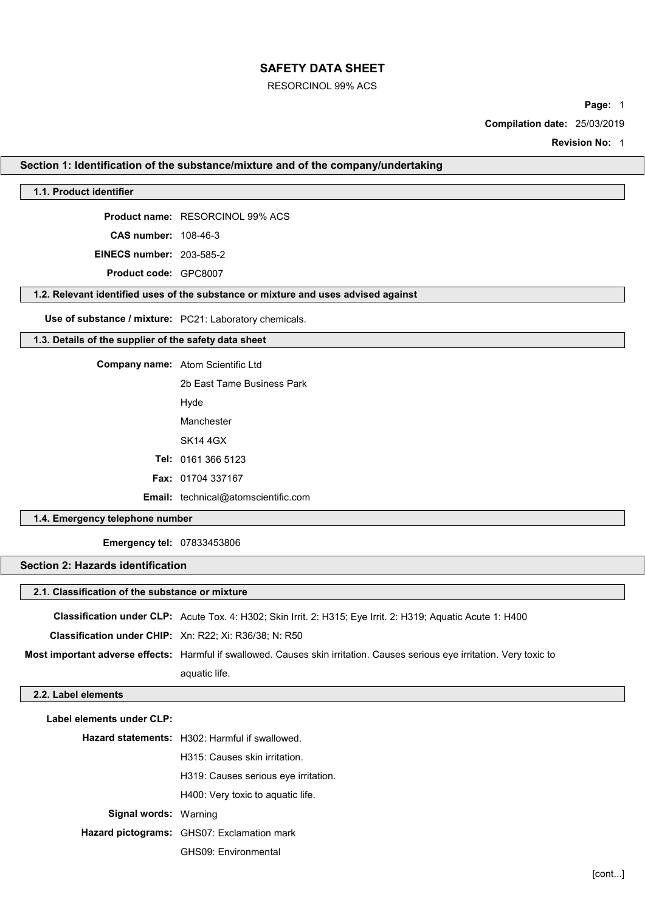#### RESORCINOL 99% ACS

Page: 1

Compilation date: 25/03/2019

Revision No: 1

### Section 1: Identification of the substance/mixture and of the company/undertaking

### 1.1. Product identifier

Product name: RESORCINOL 99% ACS

CAS number: 108-46-3

EINECS number: 203-585-2

Product code: GPC8007

#### 1.2. Relevant identified uses of the substance or mixture and uses advised against

Use of substance / mixture: PC21: Laboratory chemicals.

### 1.3. Details of the supplier of the safety data sheet

Company name: Atom Scientific Ltd

2b East Tame Business Park Hyde Manchester SK14 4GX Tel: 0161 366 5123 Fax: 01704 337167

Email: technical@atomscientific.com

### 1.4. Emergency telephone number

Emergency tel: 07833453806

## Section 2: Hazards identification

### 2.1. Classification of the substance or mixture

|                                                               | <b>Classification under CLP:</b> Acute Tox. 4: H302; Skin Irrit. 2: H315; Eye Irrit. 2: H319; Aquatic Acute 1: H400        |
|---------------------------------------------------------------|----------------------------------------------------------------------------------------------------------------------------|
| <b>Classification under CHIP:</b> Xn: R22; Xi: R36/38; N: R50 |                                                                                                                            |
|                                                               | Most important adverse effects: Harmful if swallowed. Causes skin irritation. Causes serious eye irritation. Very toxic to |
|                                                               | aquatic life.                                                                                                              |

#### 2.2. Label elements

| Label elements under CLP:    |                                                       |
|------------------------------|-------------------------------------------------------|
|                              | <b>Hazard statements:</b> H302: Harmful if swallowed. |
|                              | H315: Causes skin irritation.                         |
|                              | H319: Causes serious eye irritation.                  |
|                              | H400: Very toxic to aquatic life.                     |
| <b>Signal words: Warning</b> |                                                       |
|                              | Hazard pictograms: GHS07: Exclamation mark            |
|                              | GHS09: Environmental                                  |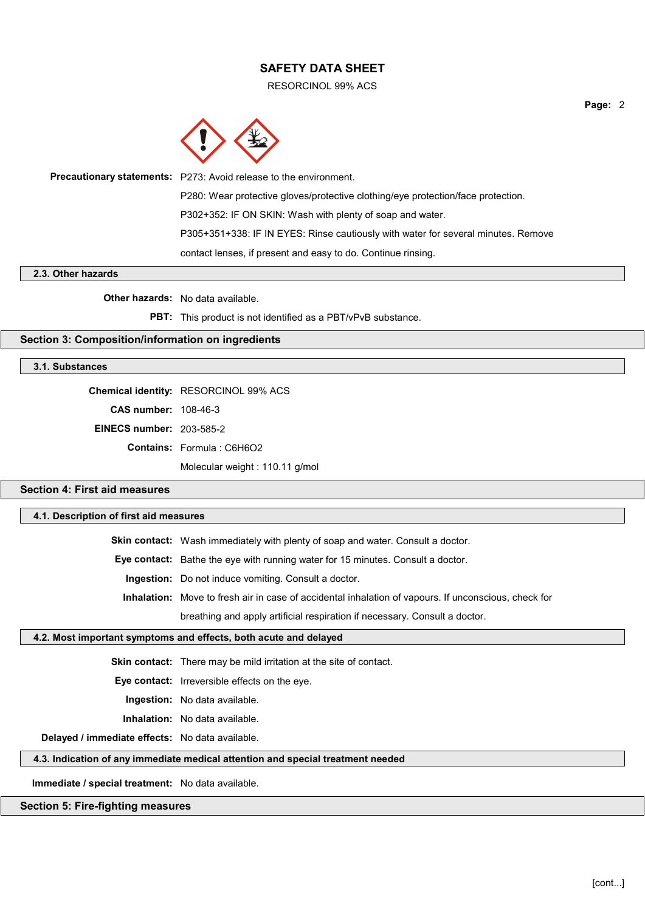RESORCINOL 99% ACS



| <b>Precautionary statements:</b> P273: Avoid release to the environment.          |
|-----------------------------------------------------------------------------------|
| P280: Wear protective gloves/protective clothing/eye protection/face protection.  |
| P302+352: IF ON SKIN: Wash with plenty of soap and water.                         |
| P305+351+338: IF IN EYES: Rinse cautiously with water for several minutes. Remove |
| contact lenses, if present and easy to do. Continue rinsing.                      |
|                                                                                   |

#### 2.3. Other hazards

Other hazards: No data available.

PBT: This product is not identified as a PBT/vPvB substance.

### Section 3: Composition/information on ingredients

#### 3.1. Substances

|                                 | Chemical identity: RESORCINOL 99% ACS |
|---------------------------------|---------------------------------------|
| <b>CAS number: 108-46-3</b>     |                                       |
| <b>EINECS number: 203-585-2</b> |                                       |
|                                 | <b>Contains: Formula: C6H6O2</b>      |
|                                 | Molecular weight: 110.11 g/mol        |

## Section 4: First aid measures

## 4.1. Description of first aid measures

Skin contact: Wash immediately with plenty of soap and water. Consult a doctor. Eye contact: Bathe the eye with running water for 15 minutes. Consult a doctor. Ingestion: Do not induce vomiting. Consult a doctor. Inhalation: Move to fresh air in case of accidental inhalation of vapours. If unconscious, check for breathing and apply artificial respiration if necessary. Consult a doctor.

#### 4.2. Most important symptoms and effects, both acute and delayed

Skin contact: There may be mild irritation at the site of contact.

Eye contact: Irreversible effects on the eye.

Ingestion: No data available.

Inhalation: No data available.

Delayed / immediate effects: No data available.

#### 4.3. Indication of any immediate medical attention and special treatment needed

Immediate / special treatment: No data available.

### Section 5: Fire-fighting measures

Page: 2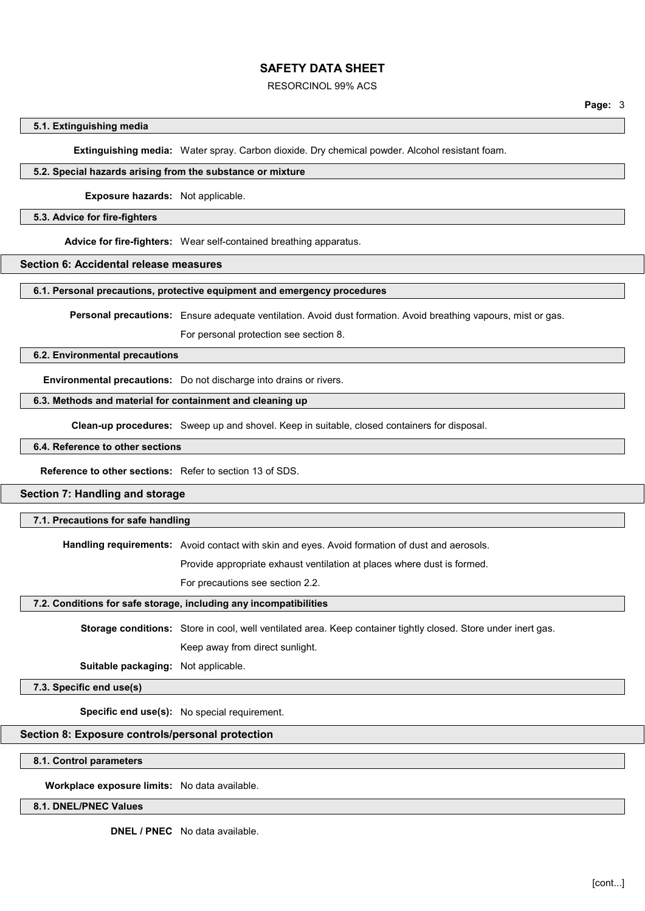#### RESORCINOL 99% ACS

#### 5.1. Extinguishing media

Extinguishing media: Water spray. Carbon dioxide. Dry chemical powder. Alcohol resistant foam.

### 5.2. Special hazards arising from the substance or mixture

Exposure hazards: Not applicable.

#### 5.3. Advice for fire-fighters

Advice for fire-fighters: Wear self-contained breathing apparatus.

#### Section 6: Accidental release measures

### 6.1. Personal precautions, protective equipment and emergency procedures

Personal precautions: Ensure adequate ventilation. Avoid dust formation. Avoid breathing vapours, mist or gas.

For personal protection see section 8.

#### 6.2. Environmental precautions

Environmental precautions: Do not discharge into drains or rivers.

## 6.3. Methods and material for containment and cleaning up

Clean-up procedures: Sweep up and shovel. Keep in suitable, closed containers for disposal.

## 6.4. Reference to other sections

Reference to other sections: Refer to section 13 of SDS.

## Section 7: Handling and storage

### 7.1. Precautions for safe handling

Handling requirements: Avoid contact with skin and eyes. Avoid formation of dust and aerosols.

Provide appropriate exhaust ventilation at places where dust is formed.

For precautions see section 2.2.

#### 7.2. Conditions for safe storage, including any incompatibilities

Storage conditions: Store in cool, well ventilated area. Keep container tightly closed. Store under inert gas. Keep away from direct sunlight.

Suitable packaging: Not applicable.

7.3. Specific end use(s)

Specific end use(s): No special requirement.

#### Section 8: Exposure controls/personal protection

8.1. Control parameters

Workplace exposure limits: No data available.

8.1. DNEL/PNEC Values

DNEL / PNEC No data available.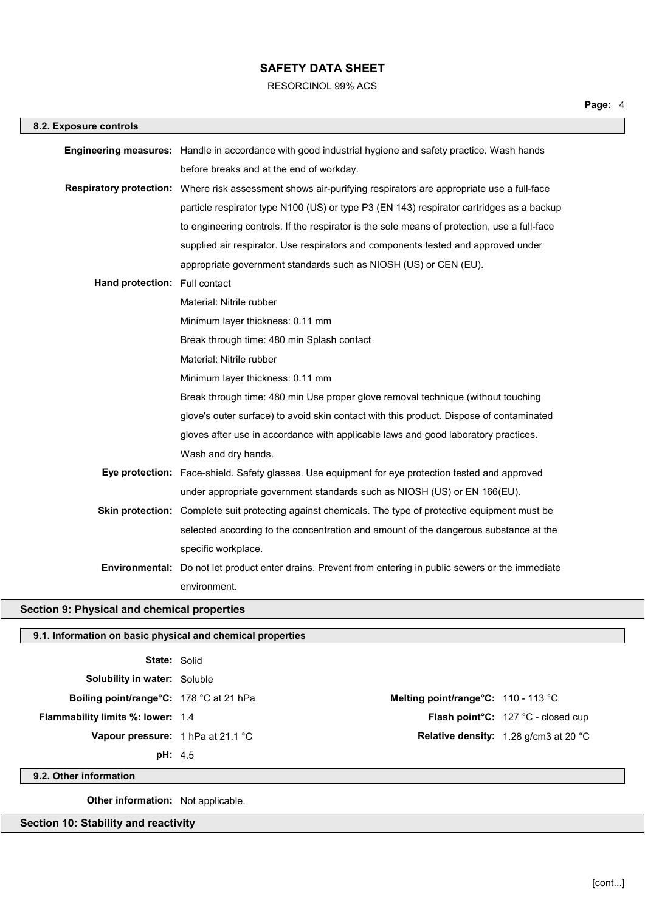RESORCINOL 99% ACS

| 8.2. Exposure controls                    |                                                                                                               |
|-------------------------------------------|---------------------------------------------------------------------------------------------------------------|
|                                           | Engineering measures: Handle in accordance with good industrial hygiene and safety practice. Wash hands       |
|                                           | before breaks and at the end of workday.                                                                      |
|                                           | Respiratory protection: Where risk assessment shows air-purifying respirators are appropriate use a full-face |
|                                           | particle respirator type N100 (US) or type P3 (EN 143) respirator cartridges as a backup                      |
|                                           | to engineering controls. If the respirator is the sole means of protection, use a full-face                   |
|                                           | supplied air respirator. Use respirators and components tested and approved under                             |
|                                           | appropriate government standards such as NIOSH (US) or CEN (EU).                                              |
| Hand protection: Full contact             |                                                                                                               |
|                                           | Material: Nitrile rubber                                                                                      |
|                                           | Minimum layer thickness: 0.11 mm                                                                              |
|                                           | Break through time: 480 min Splash contact                                                                    |
|                                           | Material: Nitrile rubber                                                                                      |
|                                           | Minimum layer thickness: 0.11 mm                                                                              |
|                                           | Break through time: 480 min Use proper glove removal technique (without touching                              |
|                                           | glove's outer surface) to avoid skin contact with this product. Dispose of contaminated                       |
|                                           | gloves after use in accordance with applicable laws and good laboratory practices.                            |
|                                           | Wash and dry hands.                                                                                           |
|                                           | Eye protection: Face-shield. Safety glasses. Use equipment for eye protection tested and approved             |
|                                           | under appropriate government standards such as NIOSH (US) or EN 166(EU).                                      |
|                                           | Skin protection: Complete suit protecting against chemicals. The type of protective equipment must be         |
|                                           | selected according to the concentration and amount of the dangerous substance at the                          |
|                                           | specific workplace.                                                                                           |
|                                           | Environmental: Do not let product enter drains. Prevent from entering in public sewers or the immediate       |
|                                           | environment.                                                                                                  |
| ction 9: Physical and chemical properties |                                                                                                               |

# Section 9: Physical and chemical prop

## 9.1. Information on basic physical and chemical properties

| <b>State: Solid</b>                      |                                       |                                                        |
|------------------------------------------|---------------------------------------|--------------------------------------------------------|
| <b>Solubility in water:</b> Soluble      |                                       |                                                        |
| Boiling point/range°C: 178 °C at 21 hPa  | Melting point/range $C: 110 - 113$ °C |                                                        |
| <b>Flammability limits %: lower: 1.4</b> |                                       | <b>Flash point °C:</b> $127$ °C - closed cup           |
| Vapour pressure: 1 hPa at 21.1 °C        |                                       | <b>Relative density:</b> 1.28 g/cm3 at 20 $^{\circ}$ C |
| pH: 4.5                                  |                                       |                                                        |

9.2. Other information

Other information: Not applicable.

Section 10: Stability and reactivity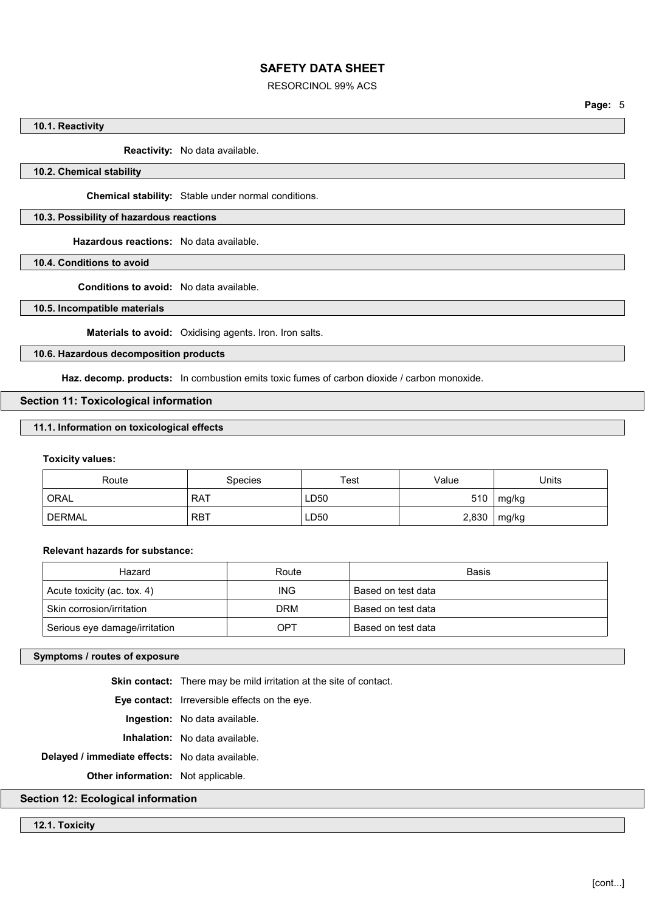### RESORCINOL 99% ACS

#### 10.1. Reactivity

Reactivity: No data available.

## 10.2. Chemical stability

Chemical stability: Stable under normal conditions.

## 10.3. Possibility of hazardous reactions

Hazardous reactions: No data available.

10.4. Conditions to avoid

Conditions to avoid: No data available.

10.5. Incompatible materials

Materials to avoid: Oxidising agents. Iron. Iron salts.

10.6. Hazardous decomposition products

Haz. decomp. products: In combustion emits toxic fumes of carbon dioxide / carbon monoxide.

### Section 11: Toxicological information

#### 11.1. Information on toxicological effects

## Toxicity values:

| Route         | <b>Species</b> | Test | Value | Units |
|---------------|----------------|------|-------|-------|
| <b>ORAL</b>   | <b>RAT</b>     | LD50 | 510   | mg/kg |
| <b>DERMAL</b> | <b>RBT</b>     | LD50 | 2,830 | mg/kg |

## Relevant hazards for substance:

| Hazard                        | Route      | Basis              |
|-------------------------------|------------|--------------------|
| Acute toxicity (ac. tox. 4)   | <b>ING</b> | Based on test data |
| Skin corrosion/irritation     | DRM        | Based on test data |
| Serious eye damage/irritation | OPT        | Based on test data |

## Symptoms / routes of exposure

Skin contact: There may be mild irritation at the site of contact.

Eye contact: Irreversible effects on the eye.

Ingestion: No data available.

Inhalation: No data available.

Delayed / immediate effects: No data available.

Other information: Not applicable.

#### Section 12: Ecological information

#### 12.1. Toxicity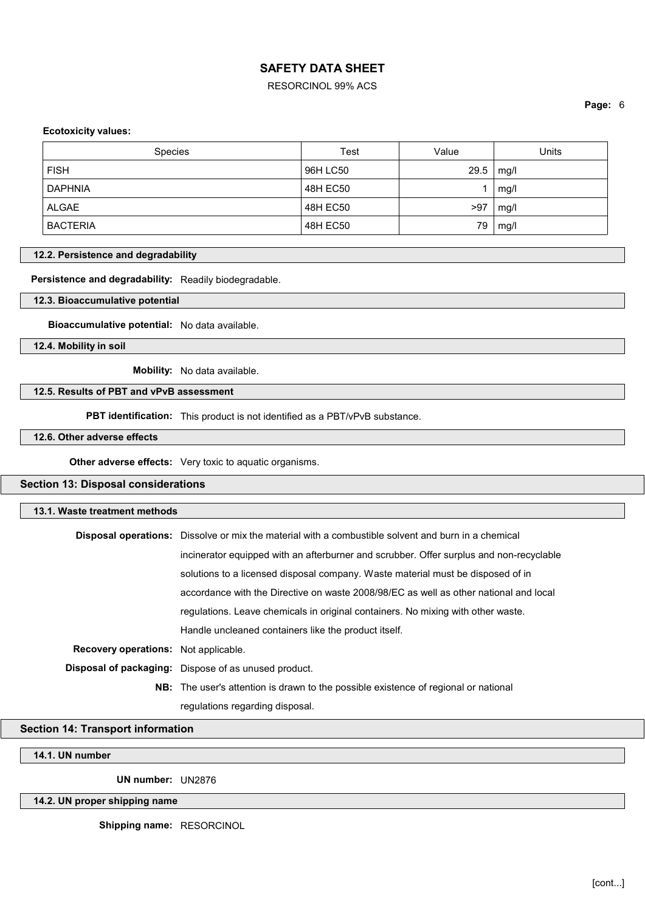### RESORCINOL 99% ACS

Page: 6

## Ecotoxicity values:

| <b>Species</b>  | Test     | Value | Units |
|-----------------|----------|-------|-------|
| <b>FISH</b>     | 96H LC50 | 29.5  | mg/l  |
| <b>DAPHNIA</b>  | 48H EC50 |       | mg/l  |
| ALGAE           | 48H EC50 | >97   | mg/l  |
| <b>BACTERIA</b> | 48H EC50 | 79    | mg/l  |

#### 12.2. Persistence and degradability

Persistence and degradability: Readily biodegradable.

12.3. Bioaccumulative potential

Bioaccumulative potential: No data available.

12.4. Mobility in soil

Mobility: No data available.

#### 12.5. Results of PBT and vPvB assessment

PBT identification: This product is not identified as a PBT/vPvB substance.

## 12.6. Other adverse effects

Other adverse effects: Very toxic to aquatic organisms.

## Section 13: Disposal considerations

| 13.1. Waste treatment methods               |                                                                                                            |  |
|---------------------------------------------|------------------------------------------------------------------------------------------------------------|--|
|                                             | <b>Disposal operations:</b> Dissolve or mix the material with a combustible solvent and burn in a chemical |  |
|                                             | incinerator equipped with an afterburner and scrubber. Offer surplus and non-recyclable                    |  |
|                                             | solutions to a licensed disposal company. Waste material must be disposed of in                            |  |
|                                             | accordance with the Directive on waste 2008/98/EC as well as other national and local                      |  |
|                                             | requilations. Leave chemicals in original containers. No mixing with other waste.                          |  |
|                                             | Handle uncleaned containers like the product itself.                                                       |  |
| <b>Recovery operations:</b> Not applicable. |                                                                                                            |  |
|                                             | Disposal of packaging: Dispose of as unused product.                                                       |  |
|                                             | <b>NB:</b> The user's attention is drawn to the possible existence of regional or national                 |  |
|                                             | regulations regarding disposal.                                                                            |  |

## Section 14: Transport information

14.1. UN number

UN number: UN2876

## 14.2. UN proper shipping name

Shipping name: RESORCINOL